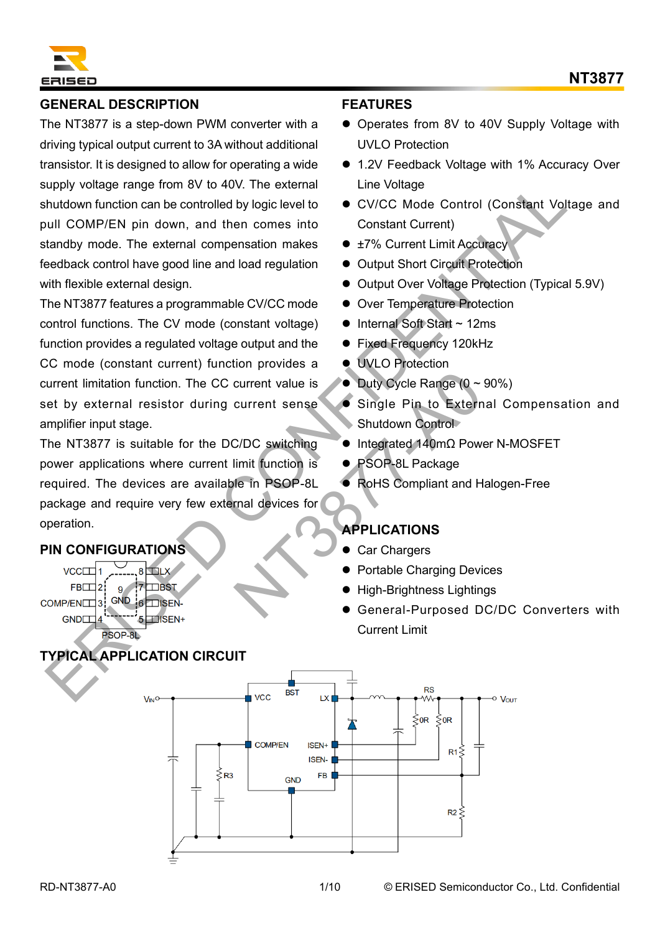

### **GENERAL DESCRIPTION**

The NT3877 is a step-down PWM converter with a driving typical output current to 3A without additional transistor. It is designed to allow for operating a wide supply voltage range from 8V to 40V. The external shutdown function can be controlled by logic level to pull COMP/EN pin down, and then comes into standby mode. The external compensation makes feedback control have good line and load regulation with flexible external design.

The NT3877 features a programmable CV/CC mode control functions. The CV mode (constant voltage) function provides a regulated voltage output and the CC mode (constant current) function provides a current limitation function. The CC current value is set by external resistor during current sense amplifier input stage. ering from 80 to 400 The external Line Voltage<br>
MultiCoMP/EN pin down, and then comes into CV/CC Mode Control (Constant Voltage)<br>
ull COMP/EN pin down, and then comes into Constant Current)<br>
ull COMP/EN pin down, and then

The NT3877 is suitable for the DC/DC switching power applications where current limit function is required. The devices are available in PSOP-8L package and require very few external devices for operation. Contrast value is<br>
Obty Cycle Range (0<br>
Cycle Range (0<br>
Single Pin to Extern<br>
Shutdown Control<br>
Cycle Range<br>
Shutdown Control<br>
Obty Cycle Range<br>
Obty Cycle Range<br>
Obty Cycle Range<br>
Obty Cycle Range<br>
Obty Cycle Range<br>
PSOP-

### **PIN CONFIGURATIONS**

## **TYPICAL APPLICATION CIRCUIT**

#### **FEATURES**

- Operates from 8V to 40V Supply Voltage with UVLO Protection
- 1.2V Feedback Voltage with 1% Accuracy Over Line Voltage
- ⚫ CV/CC Mode Control (Constant Voltage and Constant Current)
- ±7% Current Limit Accuracy
- Output Short Circuit Protection
- Output Over Voltage Protection (Typical 5.9V)
- ⚫ Over Temperature Protection
- Internal Soft Start ~ 12ms
- Fixed Frequency 120kHz
- UVLO Protection
- $\bullet$  Duty Cycle Range (0 ~ 90%)
- ⚫ Single Pin to External Compensation and Shutdown Control
- ⚫ Integrated 140mΩ Power N-MOSFET
- ⚫ PSOP-8L Package
- RoHS Compliant and Halogen-Free

## **APPLICATIONS**

- ⚫ Car Chargers
- ⚫ Portable Charging Devices
- ⚫ High-Brightness Lightings
- ⚫ General-Purposed DC/DC Converters with Current Limit